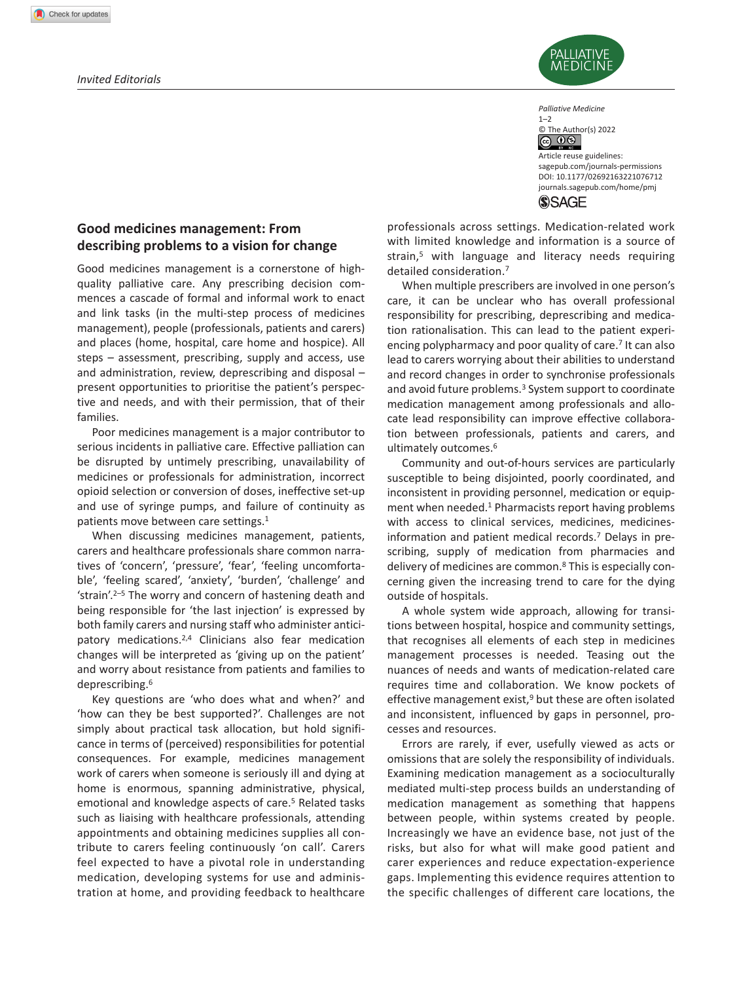## *Invited Editorials*



*Palliative Medicine*  $1 - 2$ 

© The Author(s) 2022  $\circledcirc$  0  $\circledcirc$ 

DOI: 10.1177/02692163221076712 Article reuse guidelines: [sagepub.com/journals-permissions](https://uk.sagepub.com/en-gb/journals-permissions) [journals.sagepub.com/home/pmj](http://journals.sagepub.com/home/pmj)



# **Good medicines management: From describing problems to a vision for change**

Good medicines management is a cornerstone of highquality palliative care. Any prescribing decision commences a cascade of formal and informal work to enact and link tasks (in the multi-step process of medicines management), people (professionals, patients and carers) and places (home, hospital, care home and hospice). All steps – assessment, prescribing, supply and access, use and administration, review, deprescribing and disposal – present opportunities to prioritise the patient's perspective and needs, and with their permission, that of their families.

Poor medicines management is a major contributor to serious incidents in palliative care. Effective palliation can be disrupted by untimely prescribing, unavailability of medicines or professionals for administration, incorrect opioid selection or conversion of doses, ineffective set-up and use of syringe pumps, and failure of continuity as patients move between care settings.1

When discussing medicines management, patients, carers and healthcare professionals share common narratives of 'concern', 'pressure', 'fear', 'feeling uncomfortable', 'feeling scared', 'anxiety', 'burden', 'challenge' and 'strain'.2–5 The worry and concern of hastening death and being responsible for 'the last injection' is expressed by both family carers and nursing staff who administer anticipatory medications.2,4 Clinicians also fear medication changes will be interpreted as 'giving up on the patient' and worry about resistance from patients and families to deprescribing.6

Key questions are 'who does what and when?' and 'how can they be best supported?'. Challenges are not simply about practical task allocation, but hold significance in terms of (perceived) responsibilities for potential consequences. For example, medicines management work of carers when someone is seriously ill and dying at home is enormous, spanning administrative, physical, emotional and knowledge aspects of care.<sup>5</sup> Related tasks such as liaising with healthcare professionals, attending appointments and obtaining medicines supplies all contribute to carers feeling continuously 'on call'. Carers feel expected to have a pivotal role in understanding medication, developing systems for use and administration at home, and providing feedback to healthcare professionals across settings. Medication-related work with limited knowledge and information is a source of strain,<sup>5</sup> with language and literacy needs requiring detailed consideration.7

When multiple prescribers are involved in one person's care, it can be unclear who has overall professional responsibility for prescribing, deprescribing and medication rationalisation. This can lead to the patient experiencing polypharmacy and poor quality of care.7 It can also lead to carers worrying about their abilities to understand and record changes in order to synchronise professionals and avoid future problems.<sup>3</sup> System support to coordinate medication management among professionals and allocate lead responsibility can improve effective collaboration between professionals, patients and carers, and ultimately outcomes.<sup>6</sup>

Community and out-of-hours services are particularly susceptible to being disjointed, poorly coordinated, and inconsistent in providing personnel, medication or equipment when needed.<sup>1</sup> Pharmacists report having problems with access to clinical services, medicines, medicinesinformation and patient medical records.7 Delays in prescribing, supply of medication from pharmacies and delivery of medicines are common.8 This is especially concerning given the increasing trend to care for the dying outside of hospitals.

A whole system wide approach, allowing for transitions between hospital, hospice and community settings, that recognises all elements of each step in medicines management processes is needed. Teasing out the nuances of needs and wants of medication-related care requires time and collaboration. We know pockets of effective management exist, $9$  but these are often isolated and inconsistent, influenced by gaps in personnel, processes and resources.

Errors are rarely, if ever, usefully viewed as acts or omissions that are solely the responsibility of individuals. Examining medication management as a socioculturally mediated multi-step process builds an understanding of medication management as something that happens between people, within systems created by people. Increasingly we have an evidence base, not just of the risks, but also for what will make good patient and carer experiences and reduce expectation-experience gaps. Implementing this evidence requires attention to the specific challenges of different care locations, the